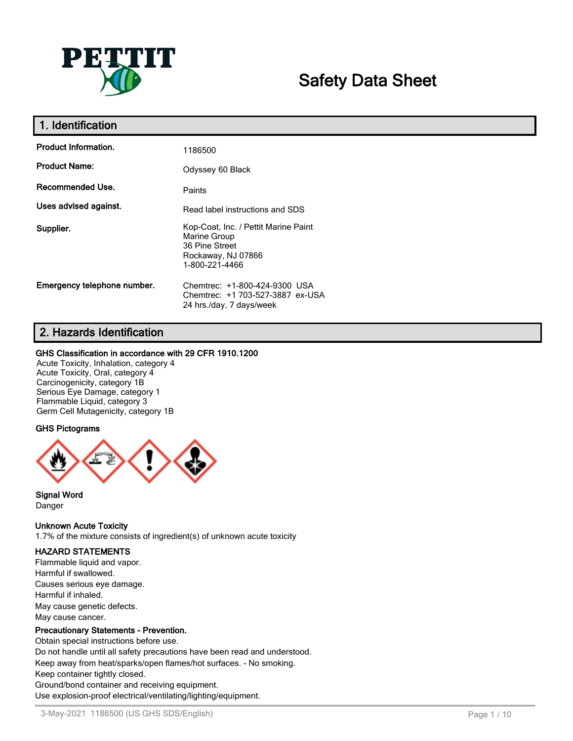

# **Safety Data Sheet**

| 1. Identification           |                                                                                                                |  |
|-----------------------------|----------------------------------------------------------------------------------------------------------------|--|
| <b>Product Information.</b> | 1186500                                                                                                        |  |
| <b>Product Name:</b>        | Odyssey 60 Black                                                                                               |  |
| Recommended Use.            | Paints                                                                                                         |  |
| Uses advised against.       | Read label instructions and SDS                                                                                |  |
| Supplier.                   | Kop-Coat, Inc. / Pettit Marine Paint<br>Marine Group<br>36 Pine Street<br>Rockaway, NJ 07866<br>1-800-221-4466 |  |
| Emergency telephone number. | Chemtrec: +1-800-424-9300 USA<br>Chemtrec: +1 703-527-3887 ex-USA<br>24 hrs./day, 7 days/week                  |  |

### **2. Hazards Identification**

#### **GHS Classification in accordance with 29 CFR 1910.1200**

Acute Toxicity, Inhalation, category 4 Acute Toxicity, Oral, category 4 Carcinogenicity, category 1B Serious Eye Damage, category 1 Flammable Liquid, category 3 Germ Cell Mutagenicity, category 1B

#### **GHS Pictograms**



**Signal Word** Danger

#### **Unknown Acute Toxicity**

1.7% of the mixture consists of ingredient(s) of unknown acute toxicity

#### **HAZARD STATEMENTS**

Flammable liquid and vapor. Harmful if swallowed. Causes serious eye damage. Harmful if inhaled. May cause genetic defects. May cause cancer.

#### **Precautionary Statements - Prevention.**

Obtain special instructions before use. Do not handle until all safety precautions have been read and understood. Keep away from heat/sparks/open flames/hot surfaces. - No smoking. Keep container tightly closed. Ground/bond container and receiving equipment. Use explosion-proof electrical/ventilating/lighting/equipment.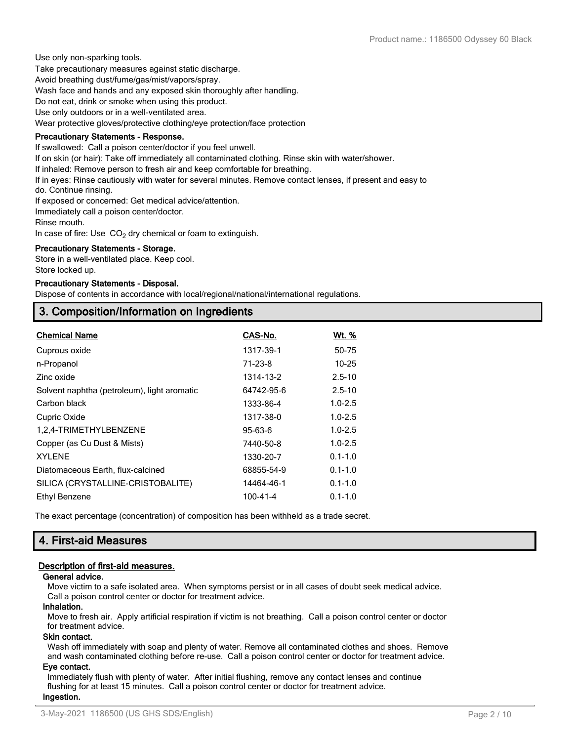Use only non-sparking tools. Take precautionary measures against static discharge. Avoid breathing dust/fume/gas/mist/vapors/spray. Wash face and hands and any exposed skin thoroughly after handling. Do not eat, drink or smoke when using this product. Use only outdoors or in a well-ventilated area. Wear protective gloves/protective clothing/eye protection/face protection

#### **Precautionary Statements - Response.**

If swallowed: Call a poison center/doctor if you feel unwell.

If on skin (or hair): Take off immediately all contaminated clothing. Rinse skin with water/shower.

If inhaled: Remove person to fresh air and keep comfortable for breathing.

If in eyes: Rinse cautiously with water for several minutes. Remove contact lenses, if present and easy to

do. Continue rinsing.

If exposed or concerned: Get medical advice/attention.

Immediately call a poison center/doctor.

Rinse mouth.

In case of fire: Use  $CO<sub>2</sub>$  dry chemical or foam to extinguish.

#### **Precautionary Statements - Storage.**

Store in a well-ventilated place. Keep cool. Store locked up.

#### **Precautionary Statements - Disposal.**

Dispose of contents in accordance with local/regional/national/international regulations.

### **3. Composition/Information on Ingredients**

| <b>Chemical Name</b>                        | CAS-No.        | <u>Wt. %</u> |
|---------------------------------------------|----------------|--------------|
| Cuprous oxide                               | 1317-39-1      | 50-75        |
| n-Propanol                                  | $71 - 23 - 8$  | $10 - 25$    |
| Zinc oxide                                  | 1314-13-2      | $2.5 - 10$   |
| Solvent naphtha (petroleum), light aromatic | 64742-95-6     | $2.5 - 10$   |
| Carbon black                                | 1333-86-4      | $1.0 - 2.5$  |
| Cupric Oxide                                | 1317-38-0      | $1.0 - 2.5$  |
| 1,2,4-TRIMETHYLBENZENE                      | $95 - 63 - 6$  | $1.0 - 2.5$  |
| Copper (as Cu Dust & Mists)                 | 7440-50-8      | $1.0 - 2.5$  |
| <b>XYLENE</b>                               | 1330-20-7      | $0.1 - 1.0$  |
| Diatomaceous Earth, flux-calcined           | 68855-54-9     | $0.1 - 1.0$  |
| SILICA (CRYSTALLINE-CRISTOBALITE)           | 14464-46-1     | $0.1 - 1.0$  |
| Ethyl Benzene                               | $100 - 41 - 4$ | $0.1 - 1.0$  |

The exact percentage (concentration) of composition has been withheld as a trade secret.

### **4. First-aid Measures**

#### **Description of first-aid measures.**

#### **General advice.**

Move victim to a safe isolated area. When symptoms persist or in all cases of doubt seek medical advice. Call a poison control center or doctor for treatment advice.

#### **Inhalation.**

Move to fresh air. Apply artificial respiration if victim is not breathing. Call a poison control center or doctor for treatment advice.

#### **Skin contact.**

Wash off immediately with soap and plenty of water. Remove all contaminated clothes and shoes. Remove and wash contaminated clothing before re-use. Call a poison control center or doctor for treatment advice.

#### **Eye contact.**

Immediately flush with plenty of water. After initial flushing, remove any contact lenses and continue flushing for at least 15 minutes. Call a poison control center or doctor for treatment advice. **Ingestion.**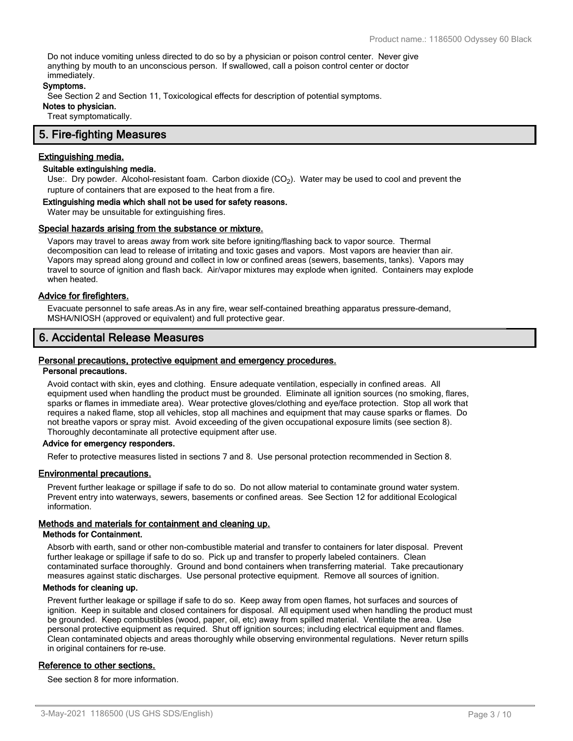Do not induce vomiting unless directed to do so by a physician or poison control center. Never give anything by mouth to an unconscious person. If swallowed, call a poison control center or doctor immediately.

#### **Symptoms.**

See Section 2 and Section 11, Toxicological effects for description of potential symptoms. **Notes to physician.**

Treat symptomatically.

#### **5. Fire-fighting Measures**

#### **Extinguishing media.**

#### **Suitable extinguishing media.**

Use:. Dry powder. Alcohol-resistant foam. Carbon dioxide (CO<sub>2</sub>). Water may be used to cool and prevent the rupture of containers that are exposed to the heat from a fire.

#### **Extinguishing media which shall not be used for safety reasons.**

Water may be unsuitable for extinguishing fires.

#### **Special hazards arising from the substance or mixture.**

Vapors may travel to areas away from work site before igniting/flashing back to vapor source. Thermal decomposition can lead to release of irritating and toxic gases and vapors. Most vapors are heavier than air. Vapors may spread along ground and collect in low or confined areas (sewers, basements, tanks). Vapors may travel to source of ignition and flash back. Air/vapor mixtures may explode when ignited. Containers may explode when heated.

#### **Advice for firefighters.**

Evacuate personnel to safe areas.As in any fire, wear self-contained breathing apparatus pressure-demand, MSHA/NIOSH (approved or equivalent) and full protective gear.

#### **6. Accidental Release Measures**

#### **Personal precautions, protective equipment and emergency procedures.**

#### **Personal precautions.**

Avoid contact with skin, eyes and clothing. Ensure adequate ventilation, especially in confined areas. All equipment used when handling the product must be grounded. Eliminate all ignition sources (no smoking, flares, sparks or flames in immediate area). Wear protective gloves/clothing and eye/face protection. Stop all work that requires a naked flame, stop all vehicles, stop all machines and equipment that may cause sparks or flames. Do not breathe vapors or spray mist. Avoid exceeding of the given occupational exposure limits (see section 8). Thoroughly decontaminate all protective equipment after use.

#### **Advice for emergency responders.**

Refer to protective measures listed in sections 7 and 8. Use personal protection recommended in Section 8.

#### **Environmental precautions.**

Prevent further leakage or spillage if safe to do so. Do not allow material to contaminate ground water system. Prevent entry into waterways, sewers, basements or confined areas. See Section 12 for additional Ecological information.

#### **Methods and materials for containment and cleaning up.**

#### **Methods for Containment.**

Absorb with earth, sand or other non-combustible material and transfer to containers for later disposal. Prevent further leakage or spillage if safe to do so. Pick up and transfer to properly labeled containers. Clean contaminated surface thoroughly. Ground and bond containers when transferring material. Take precautionary measures against static discharges. Use personal protective equipment. Remove all sources of ignition.

#### **Methods for cleaning up.**

Prevent further leakage or spillage if safe to do so. Keep away from open flames, hot surfaces and sources of ignition. Keep in suitable and closed containers for disposal. All equipment used when handling the product must be grounded. Keep combustibles (wood, paper, oil, etc) away from spilled material. Ventilate the area. Use personal protective equipment as required. Shut off ignition sources; including electrical equipment and flames. Clean contaminated objects and areas thoroughly while observing environmental regulations. Never return spills in original containers for re-use.

#### **Reference to other sections.**

See section 8 for more information.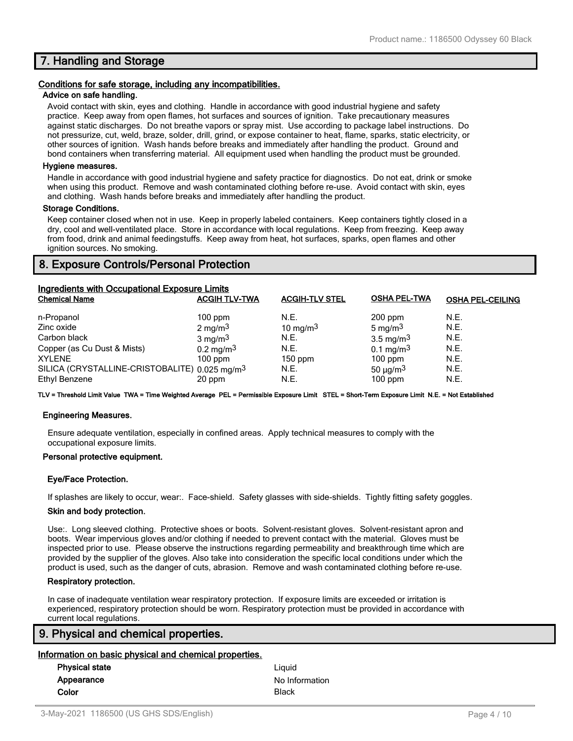### **7. Handling and Storage**

#### **Conditions for safe storage, including any incompatibilities.**

#### **Advice on safe handling.**

Avoid contact with skin, eyes and clothing. Handle in accordance with good industrial hygiene and safety practice. Keep away from open flames, hot surfaces and sources of ignition. Take precautionary measures against static discharges. Do not breathe vapors or spray mist. Use according to package label instructions. Do not pressurize, cut, weld, braze, solder, drill, grind, or expose container to heat, flame, sparks, static electricity, or other sources of ignition. Wash hands before breaks and immediately after handling the product. Ground and bond containers when transferring material. All equipment used when handling the product must be grounded.

#### **Hygiene measures.**

Handle in accordance with good industrial hygiene and safety practice for diagnostics. Do not eat, drink or smoke when using this product. Remove and wash contaminated clothing before re-use. Avoid contact with skin, eyes and clothing. Wash hands before breaks and immediately after handling the product.

#### **Storage Conditions.**

Keep container closed when not in use. Keep in properly labeled containers. Keep containers tightly closed in a dry, cool and well-ventilated place. Store in accordance with local regulations. Keep from freezing. Keep away from food, drink and animal feedingstuffs. Keep away from heat, hot surfaces, sparks, open flames and other ignition sources. No smoking.

### **8. Exposure Controls/Personal Protection**

| <b>Ingredients with Occupational Exposure Limits</b>      |                         |                       |                         |                         |  |
|-----------------------------------------------------------|-------------------------|-----------------------|-------------------------|-------------------------|--|
| <b>Chemical Name</b>                                      | <b>ACGIH TLV-TWA</b>    | <b>ACGIH-TLV STEL</b> | <b>OSHA PEL-TWA</b>     | <b>OSHA PEL-CEILING</b> |  |
| n-Propanol                                                | $100$ ppm               | N.E.                  | $200$ ppm               | N.E.                    |  |
| Zinc oxide                                                | 2 mg/m $3$              | 10 mg/m $3$           | 5 mg/m $3$              | N.E.                    |  |
| Carbon black                                              | $3 \text{ mg/m}^3$      | N.E.                  | $3.5 \text{ mg/m}^3$    | N.E.                    |  |
| Copper (as Cu Dust & Mists)                               | $0.2 \,\mathrm{mg/m^3}$ | N.E.                  | $0.1 \,\mathrm{mg/m^3}$ | N.E.                    |  |
| <b>XYLENE</b>                                             | $100$ ppm               | $150$ ppm             | $100$ ppm               | N.E.                    |  |
| SILICA (CRYSTALLINE-CRISTOBALITE) 0.025 mg/m <sup>3</sup> |                         | N.E.                  | $50 \mu g/m3$           | N.E.                    |  |
| Ethyl Benzene                                             | 20 ppm                  | N.E.                  | $100$ ppm               | N.E.                    |  |

**TLV = Threshold Limit Value TWA = Time Weighted Average PEL = Permissible Exposure Limit STEL = Short-Term Exposure Limit N.E. = Not Established**

#### **Engineering Measures.**

Ensure adequate ventilation, especially in confined areas. Apply technical measures to comply with the occupational exposure limits.

#### **Personal protective equipment.**

#### **Eye/Face Protection.**

If splashes are likely to occur, wear:. Face-shield. Safety glasses with side-shields. Tightly fitting safety goggles.

#### **Skin and body protection.**

Use:. Long sleeved clothing. Protective shoes or boots. Solvent-resistant gloves. Solvent-resistant apron and boots. Wear impervious gloves and/or clothing if needed to prevent contact with the material. Gloves must be inspected prior to use. Please observe the instructions regarding permeability and breakthrough time which are provided by the supplier of the gloves. Also take into consideration the specific local conditions under which the product is used, such as the danger of cuts, abrasion. Remove and wash contaminated clothing before re-use.

#### **Respiratory protection.**

In case of inadequate ventilation wear respiratory protection. If exposure limits are exceeded or irritation is experienced, respiratory protection should be worn. Respiratory protection must be provided in accordance with current local regulations.

#### **9. Physical and chemical properties.**

#### **Information on basic physical and chemical properties.**

| <b>Physical state</b> | Liauid         |
|-----------------------|----------------|
| Appearance            | No Information |
| Color                 | Black          |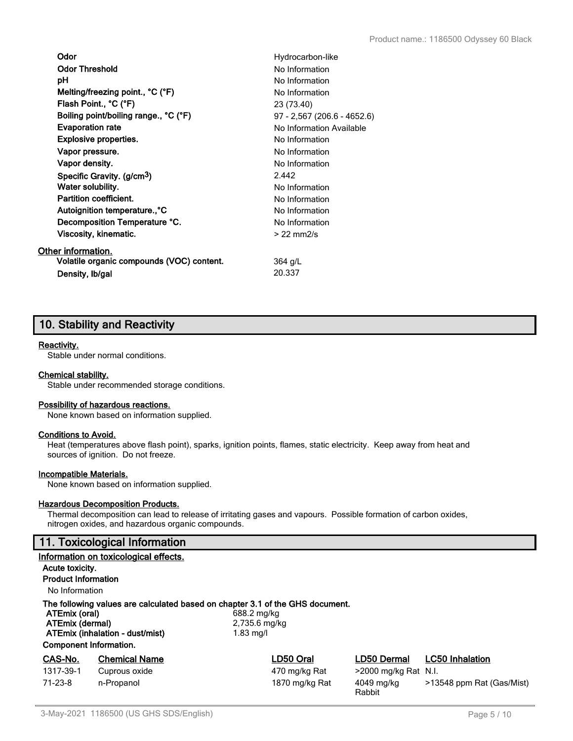| Odor                                                  | Hydrocarbon-like             |
|-------------------------------------------------------|------------------------------|
| <b>Odor Threshold</b>                                 | No Information               |
| рH                                                    | No Information               |
| Melting/freezing point., $^{\circ}$ C ( $^{\circ}$ F) | No Information               |
| Flash Point., °C (°F)                                 | 23 (73.40)                   |
| Boiling point/boiling range., °C (°F)                 | $97 - 2,567(206.6 - 4652.6)$ |
| <b>Evaporation rate</b>                               | No Information Available     |
| <b>Explosive properties.</b>                          | No Information               |
| Vapor pressure.                                       | No Information               |
| Vapor density.                                        | No Information               |
| Specific Gravity. (g/cm <sup>3</sup> )                | 2.442                        |
| Water solubility.                                     | No Information               |
| Partition coefficient.                                | No Information               |
| Autoignition temperature., °C                         | No Information               |
| Decomposition Temperature °C.                         | No Information               |
| Viscosity, kinematic.                                 | $>22$ mm $2/s$               |
| Other information.                                    |                              |
| Volatile organic compounds (VOC) content.             | 364 g/L                      |
| Density, Ib/gal                                       | 20.337                       |

### **10. Stability and Reactivity**

#### **Reactivity.**

Stable under normal conditions.

#### **Chemical stability.**

Stable under recommended storage conditions.

#### **Possibility of hazardous reactions.**

None known based on information supplied.

#### **Conditions to Avoid.**

Heat (temperatures above flash point), sparks, ignition points, flames, static electricity. Keep away from heat and sources of ignition. Do not freeze.

#### **Incompatible Materials.**

None known based on information supplied.

#### **Hazardous Decomposition Products.**

Thermal decomposition can lead to release of irritating gases and vapours. Possible formation of carbon oxides, nitrogen oxides, and hazardous organic compounds.

### **11. Toxicological Information**

|                                                                                                                                                                                                     | Information on toxicological effects. |                |                      |                           |
|-----------------------------------------------------------------------------------------------------------------------------------------------------------------------------------------------------|---------------------------------------|----------------|----------------------|---------------------------|
| Acute toxicity.                                                                                                                                                                                     |                                       |                |                      |                           |
| <b>Product Information</b>                                                                                                                                                                          |                                       |                |                      |                           |
| No Information                                                                                                                                                                                      |                                       |                |                      |                           |
| The following values are calculated based on chapter 3.1 of the GHS document.<br>ATEmix (oral)<br>688.2 mg/kg<br>ATEmix (dermal)<br>2,735.6 mg/kg<br>ATEmix (inhalation - dust/mist)<br>$1.83$ mg/l |                                       |                |                      |                           |
| <b>Component Information.</b>                                                                                                                                                                       |                                       |                |                      |                           |
| CAS-No.                                                                                                                                                                                             | <b>Chemical Name</b>                  | LD50 Oral      | LD50 Dermal          | <b>LC50 Inhalation</b>    |
| 1317-39-1                                                                                                                                                                                           | Cuprous oxide                         | 470 mg/kg Rat  | >2000 mg/kg Rat N.I. |                           |
| $71-23-8$                                                                                                                                                                                           | n-Propanol                            | 1870 mg/kg Rat | 4049 mg/kg<br>Rabbit | >13548 ppm Rat (Gas/Mist) |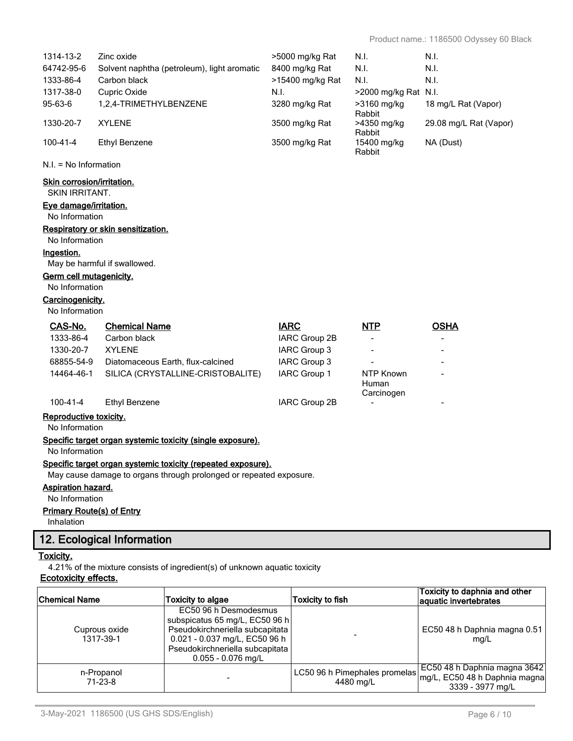| 1314-13-2<br>64742-95-6<br>1333-86-4                                         | Zinc oxide<br>Solvent naphtha (petroleum), light aromatic<br>Carbon black                         | >5000 mg/kg Rat<br>8400 mg/kg Rat<br>>15400 mg/kg Rat | N.I.<br>N.I.<br>N.I.                    | N.I.<br>N.I.<br>N.I.   |  |  |
|------------------------------------------------------------------------------|---------------------------------------------------------------------------------------------------|-------------------------------------------------------|-----------------------------------------|------------------------|--|--|
| 1317-38-0                                                                    | Cupric Oxide                                                                                      | N.I.                                                  | >2000 mg/kg Rat N.I.                    |                        |  |  |
| 95-63-6                                                                      | 1,2,4-TRIMETHYLBENZENE                                                                            | 3280 mg/kg Rat                                        | >3160 mg/kg<br>Rabbit                   | 18 mg/L Rat (Vapor)    |  |  |
| 1330-20-7                                                                    | <b>XYLENE</b>                                                                                     | 3500 mg/kg Rat                                        | >4350 mg/kg<br>Rabbit                   | 29.08 mg/L Rat (Vapor) |  |  |
| $100 - 41 - 4$                                                               | <b>Ethyl Benzene</b>                                                                              | 3500 mg/kg Rat                                        | 15400 mg/kg<br>Rabbit                   | NA (Dust)              |  |  |
| $N.I. = No Information$                                                      |                                                                                                   |                                                       |                                         |                        |  |  |
| Skin corrosion/irritation.<br><b>SKIN IRRITANT.</b>                          |                                                                                                   |                                                       |                                         |                        |  |  |
| Eye damage/irritation.<br>No Information                                     |                                                                                                   |                                                       |                                         |                        |  |  |
| No Information                                                               | Respiratory or skin sensitization.                                                                |                                                       |                                         |                        |  |  |
| Ingestion.                                                                   |                                                                                                   |                                                       |                                         |                        |  |  |
|                                                                              | May be harmful if swallowed.                                                                      |                                                       |                                         |                        |  |  |
| Germ cell mutagenicity.<br>No Information                                    |                                                                                                   |                                                       |                                         |                        |  |  |
| Carcinogenicity.                                                             |                                                                                                   |                                                       |                                         |                        |  |  |
| No Information                                                               |                                                                                                   |                                                       |                                         |                        |  |  |
| CAS-No.                                                                      | <b>Chemical Name</b>                                                                              | <b>IARC</b>                                           | <b>NTP</b>                              | <b>OSHA</b>            |  |  |
| 1333-86-4                                                                    | Carbon black                                                                                      | IARC Group 2B                                         | $\overline{\phantom{a}}$                |                        |  |  |
| 1330-20-7                                                                    | <b>XYLENE</b>                                                                                     | IARC Group 3                                          |                                         |                        |  |  |
| 68855-54-9                                                                   | Diatomaceous Earth, flux-calcined                                                                 | IARC Group 3                                          |                                         |                        |  |  |
| 14464-46-1                                                                   | SILICA (CRYSTALLINE-CRISTOBALITE)                                                                 | IARC Group 1                                          | <b>NTP Known</b><br>Human<br>Carcinogen |                        |  |  |
| 100-41-4                                                                     | <b>Ethyl Benzene</b>                                                                              | IARC Group 2B                                         |                                         |                        |  |  |
| Reproductive toxicity.                                                       |                                                                                                   |                                                       |                                         |                        |  |  |
| No Information                                                               |                                                                                                   |                                                       |                                         |                        |  |  |
| Specific target organ systemic toxicity (single exposure).<br>No Information |                                                                                                   |                                                       |                                         |                        |  |  |
| Specific target organ systemic toxicity (repeated exposure).                 |                                                                                                   |                                                       |                                         |                        |  |  |
| May cause damage to organs through prolonged or repeated exposure.           |                                                                                                   |                                                       |                                         |                        |  |  |
| <b>Aspiration hazard.</b>                                                    |                                                                                                   |                                                       |                                         |                        |  |  |
| No Information                                                               |                                                                                                   |                                                       |                                         |                        |  |  |
| <b>Primary Route(s) of Entry</b>                                             |                                                                                                   |                                                       |                                         |                        |  |  |
| Inhalation                                                                   |                                                                                                   |                                                       |                                         |                        |  |  |
|                                                                              | 12. Ecological Information                                                                        |                                                       |                                         |                        |  |  |
| <u>Toxicity.</u>                                                             |                                                                                                   |                                                       |                                         |                        |  |  |
|                                                                              | 4.21% of the mixture consists of ingredient(s) of unknown aquatic toxicity<br>Enataviaity affanta |                                                       |                                         |                        |  |  |
|                                                                              |                                                                                                   |                                                       |                                         |                        |  |  |

#### **Ecotoxicity effects.**

| <b>Chemical Name</b>       | Toxicity to algae                                                                                                                                                                      | <b>Toxicity to fish</b>                    | Toxicity to daphnia and other<br>aquatic invertebrates                            |
|----------------------------|----------------------------------------------------------------------------------------------------------------------------------------------------------------------------------------|--------------------------------------------|-----------------------------------------------------------------------------------|
| Cuprous oxide<br>1317-39-1 | EC50 96 h Desmodesmus<br>subspicatus 65 mg/L, EC50 96 h<br>Pseudokirchneriella subcapitata<br>0.021 - 0.037 mg/L, EC50 96 h<br>Pseudokirchneriella subcapitata<br>$0.055 - 0.076$ mg/L |                                            | EC50 48 h Daphnia magna 0.51<br>mq/L                                              |
| n-Propanol<br>$71-23-8$    |                                                                                                                                                                                        | LC50 96 h Pimephales promelas<br>4480 mg/L | EC50 48 h Daphnia magna 3642<br>mg/L, EC50 48 h Daphnia magna<br>3339 - 3977 mg/L |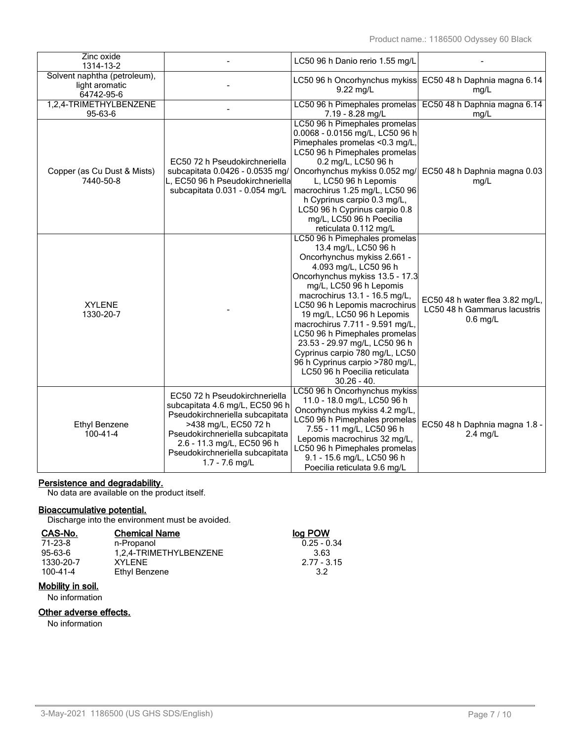| Zinc oxide<br>1314-13-2                                      |                                                                                                                                                                                                                                                     | LC50 96 h Danio rerio 1.55 mg/L                                                                                                                                                                                                                                                                                                                                                                                                                                                                         |                                                                               |
|--------------------------------------------------------------|-----------------------------------------------------------------------------------------------------------------------------------------------------------------------------------------------------------------------------------------------------|---------------------------------------------------------------------------------------------------------------------------------------------------------------------------------------------------------------------------------------------------------------------------------------------------------------------------------------------------------------------------------------------------------------------------------------------------------------------------------------------------------|-------------------------------------------------------------------------------|
| Solvent naphtha (petroleum),<br>light aromatic<br>64742-95-6 |                                                                                                                                                                                                                                                     | 9.22 mg/L                                                                                                                                                                                                                                                                                                                                                                                                                                                                                               | LC50 96 h Oncorhynchus mykiss EC50 48 h Daphnia magna 6.14<br>mq/L            |
| 1,2,4-TRIMETHYLBENZENE<br>95-63-6                            |                                                                                                                                                                                                                                                     | LC50 96 h Pimephales promelas<br>7.19 - 8.28 mg/L                                                                                                                                                                                                                                                                                                                                                                                                                                                       | EC50 48 h Daphnia magna 6.14<br>mg/L                                          |
| Copper (as Cu Dust & Mists)<br>7440-50-8                     | EC50 72 h Pseudokirchneriella<br>subcapitata 0.0426 - 0.0535 mg/<br>L, EC50 96 h Pseudokirchneriella<br>subcapitata 0.031 - 0.054 mg/L                                                                                                              | LC50 96 h Pimephales promelas<br>0.0068 - 0.0156 mg/L, LC50 96 h<br>Pimephales promelas <0.3 mg/L,<br>LC50 96 h Pimephales promelas<br>0.2 mg/L, LC50 96 h<br>Oncorhynchus mykiss 0.052 mg/<br>L, LC50 96 h Lepomis<br>macrochirus 1.25 mg/L, LC50 96<br>h Cyprinus carpio 0.3 mg/L,<br>LC50 96 h Cyprinus carpio 0.8<br>mg/L, LC50 96 h Poecilia<br>reticulata 0.112 mg/L                                                                                                                              | EC50 48 h Daphnia magna 0.03<br>mg/L                                          |
| <b>XYLENE</b><br>1330-20-7                                   |                                                                                                                                                                                                                                                     | LC50 96 h Pimephales promelas<br>13.4 mg/L, LC50 96 h<br>Oncorhynchus mykiss 2.661 -<br>4.093 mg/L, LC50 96 h<br>Oncorhynchus mykiss 13.5 - 17.3<br>mg/L, LC50 96 h Lepomis<br>macrochirus 13.1 - 16.5 mg/L,<br>LC50 96 h Lepomis macrochirus<br>19 mg/L, LC50 96 h Lepomis<br>macrochirus 7.711 - 9.591 mg/L,<br>LC50 96 h Pimephales promelas<br>23.53 - 29.97 mg/L, LC50 96 h<br>Cyprinus carpio 780 mg/L, LC50<br>96 h Cyprinus carpio >780 mg/L,<br>LC50 96 h Poecilia reticulata<br>$30.26 - 40.$ | EC50 48 h water flea 3.82 mg/L,<br>LC50 48 h Gammarus lacustris<br>$0.6$ mg/L |
| <b>Ethyl Benzene</b><br>100-41-4                             | EC50 72 h Pseudokirchneriella<br>subcapitata 4.6 mg/L, EC50 96 h<br>Pseudokirchneriella subcapitata<br>>438 mg/L, EC50 72 h<br>Pseudokirchneriella subcapitata<br>2.6 - 11.3 mg/L, EC50 96 h<br>Pseudokirchneriella subcapitata<br>$1.7 - 7.6$ mg/L | LC50 96 h Oncorhynchus mykiss<br>11.0 - 18.0 mg/L, LC50 96 h<br>Oncorhynchus mykiss 4.2 mg/L,<br>LC50 96 h Pimephales promelas<br>7.55 - 11 mg/L, LC50 96 h<br>Lepomis macrochirus 32 mg/L,<br>LC50 96 h Pimephales promelas<br>9.1 - 15.6 mg/L, LC50 96 h<br>Poecilia reticulata 9.6 mg/L                                                                                                                                                                                                              | EC50 48 h Daphnia magna 1.8 -<br>$2.4$ mg/L                                   |

#### **Persistence and degradability.**

No data are available on the product itself.

#### **Bioaccumulative potential.**

Discharge into the environment must be avoided.

| CAS-No.   | <b>Chemical Name</b>   | log POW       |
|-----------|------------------------|---------------|
| 71-23-8   | n-Propanol             | $0.25 - 0.34$ |
| 95-63-6   | 1.2.4-TRIMETHYLBENZENE | 3.63          |
| 1330-20-7 | XYI FNF                | $2.77 - 3.15$ |
| 100-41-4  | Ethyl Benzene          | 32            |

## **Mobility in soil.**

No information

### **Other adverse effects.**

No information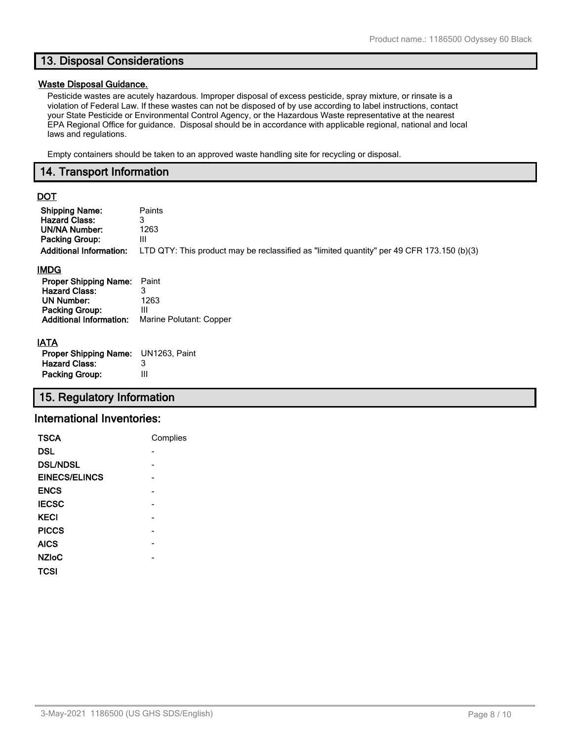### **13. Disposal Considerations**

#### **Waste Disposal Guidance.**

Pesticide wastes are acutely hazardous. Improper disposal of excess pesticide, spray mixture, or rinsate is a violation of Federal Law. If these wastes can not be disposed of by use according to label instructions, contact your State Pesticide or Environmental Control Agency, or the Hazardous Waste representative at the nearest EPA Regional Office for guidance. Disposal should be in accordance with applicable regional, national and local laws and regulations.

Empty containers should be taken to an approved waste handling site for recycling or disposal.

#### **14. Transport Information**

### **DOT**

| <b>Shipping Name:</b>          | Paints                                                                                    |
|--------------------------------|-------------------------------------------------------------------------------------------|
| <b>Hazard Class:</b>           | 3                                                                                         |
| <b>UN/NA Number:</b>           | 1263                                                                                      |
| <b>Packing Group:</b>          | Ш                                                                                         |
| <b>Additional Information:</b> | LTD QTY: This product may be reclassified as "limited quantity" per 49 CFR 173.150 (b)(3) |
| <b>IMDG</b>                    |                                                                                           |
| <b>Proper Shipping Name:</b>   | Paint                                                                                     |
| <b>Hazard Class:</b>           | 3                                                                                         |
| UN Number:                     | 1263                                                                                      |
| <b>Packing Group:</b>          | Ш                                                                                         |
| <b>Additional Information:</b> | Marine Polutant: Copper                                                                   |
| <b>IATA</b>                    |                                                                                           |

| <b>Proper Shipping Name:</b> UN1263, Paint |   |
|--------------------------------------------|---|
| <b>Hazard Class:</b>                       | 3 |
| <b>Packing Group:</b>                      | Ш |

### **15. Regulatory Information**

#### **International Inventories:**

| <b>TSCA</b>          | Complies |
|----------------------|----------|
| <b>DSL</b>           |          |
| <b>DSL/NDSL</b>      |          |
| <b>EINECS/ELINCS</b> |          |
| <b>ENCS</b>          |          |
| <b>IECSC</b>         |          |
| <b>KECI</b>          |          |
| <b>PICCS</b>         |          |
| <b>AICS</b>          |          |
| <b>NZIoC</b>         |          |
| <b>TCSI</b>          |          |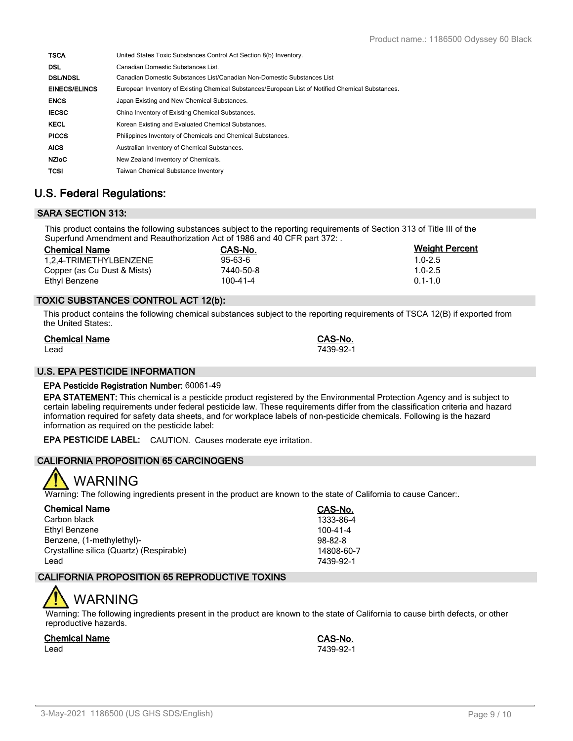| <b>TSCA</b>          | United States Toxic Substances Control Act Section 8(b) Inventory.                                |
|----------------------|---------------------------------------------------------------------------------------------------|
| <b>DSL</b>           | Canadian Domestic Substances List.                                                                |
| <b>DSL/NDSL</b>      | Canadian Domestic Substances List/Canadian Non-Domestic Substances List                           |
| <b>EINECS/ELINCS</b> | European Inventory of Existing Chemical Substances/European List of Notified Chemical Substances. |
| <b>ENCS</b>          | Japan Existing and New Chemical Substances.                                                       |
| <b>IECSC</b>         | China Inventory of Existing Chemical Substances.                                                  |
| <b>KECL</b>          | Korean Existing and Evaluated Chemical Substances.                                                |
| <b>PICCS</b>         | Philippines Inventory of Chemicals and Chemical Substances.                                       |
| <b>AICS</b>          | Australian Inventory of Chemical Substances.                                                      |
| <b>NZIOC</b>         | New Zealand Inventory of Chemicals.                                                               |
| <b>TCSI</b>          | <b>Taiwan Chemical Substance Inventory</b>                                                        |

### **U.S. Federal Regulations:**

### **SARA SECTION 313:**

This product contains the following substances subject to the reporting requirements of Section 313 of Title III of the Superfund Amendment and Reauthorization Act of 1986 and 40 CFR part 372: .

| <b>Chemical Name</b>        | CAS-No.        | <b>Weight Percent</b> |
|-----------------------------|----------------|-----------------------|
| 1.2.4-TRIMETHYLBENZENE      | $95 - 63 - 6$  | $1.0 - 2.5$           |
| Copper (as Cu Dust & Mists) | 7440-50-8      | $1.0 - 2.5$           |
| Ethyl Benzene               | $100 - 41 - 4$ | $0.1 - 1.0$           |

#### **TOXIC SUBSTANCES CONTROL ACT 12(b):**

This product contains the following chemical substances subject to the reporting requirements of TSCA 12(B) if exported from the United States:.

| <b>Chemical Name</b> | CAS-No.   |
|----------------------|-----------|
| Lead                 | 7439-92-1 |

#### **U.S. EPA PESTICIDE INFORMATION**

#### **EPA Pesticide Registration Number:** 60061-49

**EPA STATEMENT:** This chemical is a pesticide product registered by the Environmental Protection Agency and is subject to certain labeling requirements under federal pesticide law. These requirements differ from the classification criteria and hazard information required for safety data sheets, and for workplace labels of non-pesticide chemicals. Following is the hazard information as required on the pesticide label:

**EPA PESTICIDE LABEL:** CAUTION. Causes moderate eye irritation.

#### **CALIFORNIA PROPOSITION 65 CARCINOGENS**



Warning: The following ingredients present in the product are known to the state of California to cause Cancer:.

| <b>Chemical Name</b>                     | CAS-No.        |
|------------------------------------------|----------------|
| Carbon black                             | 1333-86-4      |
| Ethyl Benzene                            | $100 - 41 - 4$ |
| Benzene, (1-methylethyl)-                | $98-82-8$      |
| Crystalline silica (Quartz) (Respirable) | 14808-60-7     |
| Lead                                     | 7439-92-1      |

#### **CALIFORNIA PROPOSITION 65 REPRODUCTIVE TOXINS**

# WARNING

Warning: The following ingredients present in the product are known to the state of California to cause birth defects, or other reproductive hazards.

#### **Chemical Name CAS-No.**

Lead 7439-92-1